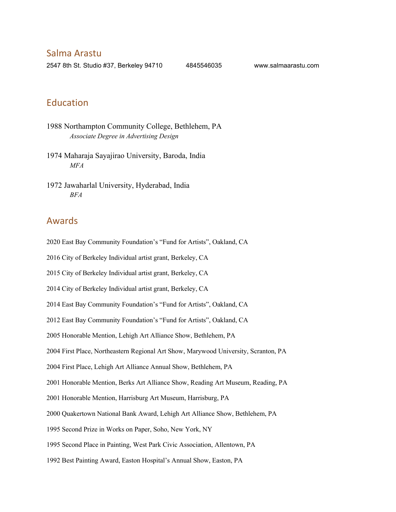Salma Arastu

2547 8th St. Studio #37, Berkeley 94710 4845546035 www.salmaarastu.com

## Education

- 1988 Northampton Community College, Bethlehem, PA *Associate Degree in Advertising Design*
- 1974 Maharaja Sayajirao University, Baroda, India *MFA*
- 1972 Jawaharlal University, Hyderabad, India *BFA*

### Awards

2020 East Bay Community Foundation's "Fund for Artists", Oakland, CA

2016 City of Berkeley Individual artist grant, Berkeley, CA

2015 City of Berkeley Individual artist grant, Berkeley, CA

2014 City of Berkeley Individual artist grant, Berkeley, CA

2014 East Bay Community Foundation's "Fund for Artists", Oakland, CA

2012 East Bay Community Foundation's "Fund for Artists", Oakland, CA

2005 Honorable Mention, Lehigh Art Alliance Show, Bethlehem, PA

2004 First Place, Northeastern Regional Art Show, Marywood University, Scranton, PA

2004 First Place, Lehigh Art Alliance Annual Show, Bethlehem, PA

2001 Honorable Mention, Berks Art Alliance Show, Reading Art Museum, Reading, PA

2001 Honorable Mention, Harrisburg Art Museum, Harrisburg, PA

2000 Quakertown National Bank Award, Lehigh Art Alliance Show, Bethlehem, PA

1995 Second Prize in Works on Paper, Soho, New York, NY

1995 Second Place in Painting, West Park Civic Association, Allentown, PA

1992 Best Painting Award, Easton Hospital's Annual Show, Easton, PA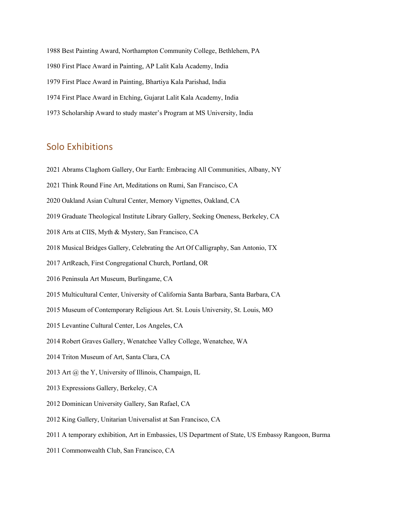1988 Best Painting Award, Northampton Community College, Bethlehem, PA 1980 First Place Award in Painting, AP Lalit Kala Academy, India 1979 First Place Award in Painting, Bhartiya Kala Parishad, India 1974 First Place Award in Etching, Gujarat Lalit Kala Academy, India 1973 Scholarship Award to study master's Program at MS University, India

## Solo Exhibitions

- 2021 Abrams Claghorn Gallery, Our Earth: Embracing All Communities, Albany, NY
- 2021 Think Round Fine Art, Meditations on Rumi, San Francisco, CA
- 2020 Oakland Asian Cultural Center, Memory Vignettes, Oakland, CA
- 2019 Graduate Theological Institute Library Gallery, Seeking Oneness, Berkeley, CA
- 2018 Arts at CIIS, Myth & Mystery, San Francisco, CA
- 2018 Musical Bridges Gallery, Celebrating the Art Of Calligraphy, San Antonio, TX
- 2017 ArtReach, First Congregational Church, Portland, OR
- 2016 Peninsula Art Museum, Burlingame, CA
- 2015 Multicultural Center, University of California Santa Barbara, Santa Barbara, CA
- 2015 Museum of Contemporary Religious Art. St. Louis University, St. Louis, MO
- 2015 Levantine Cultural Center, Los Angeles, CA
- 2014 Robert Graves Gallery, Wenatchee Valley College, Wenatchee, WA
- 2014 Triton Museum of Art, Santa Clara, CA
- 2013 Art @ the Y, University of Illinois, Champaign, IL
- 2013 Expressions Gallery, Berkeley, CA
- 2012 Dominican University Gallery, San Rafael, CA
- 2012 King Gallery, Unitarian Universalist at San Francisco, CA
- 2011 A temporary exhibition, Art in Embassies, US Department of State, US Embassy Rangoon, Burma
- 2011 Commonwealth Club, San Francisco, CA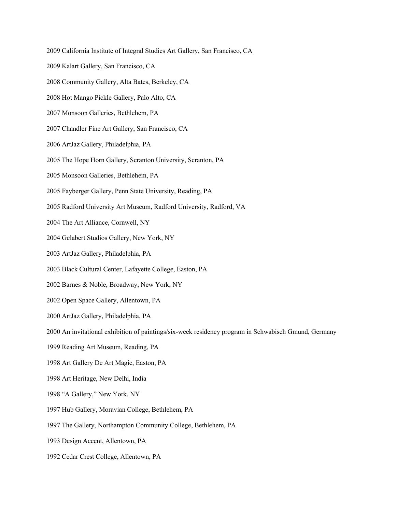- 2009 California Institute of Integral Studies Art Gallery, San Francisco, CA 2009 Kalart Gallery, San Francisco, CA 2008 Community Gallery, Alta Bates, Berkeley, CA 2008 Hot Mango Pickle Gallery, Palo Alto, CA 2007 Monsoon Galleries, Bethlehem, PA 2007 Chandler Fine Art Gallery, San Francisco, CA 2006 ArtJaz Gallery, Philadelphia, PA 2005 The Hope Horn Gallery, Scranton University, Scranton, PA 2005 Monsoon Galleries, Bethlehem, PA 2005 Fayberger Gallery, Penn State University, Reading, PA 2005 Radford University Art Museum, Radford University, Radford, VA 2004 The Art Alliance, Cornwell, NY 2004 Gelabert Studios Gallery, New York, NY 2003 ArtJaz Gallery, Philadelphia, PA 2003 Black Cultural Center, Lafayette College, Easton, PA 2002 Barnes & Noble, Broadway, New York, NY 2002 Open Space Gallery, Allentown, PA 2000 ArtJaz Gallery, Philadelphia, PA 2000 An invitational exhibition of paintings/six-week residency program in Schwabisch Gmund, Germany 1999 Reading Art Museum, Reading, PA 1998 Art Gallery De Art Magic, Easton, PA 1998 Art Heritage, New Delhi, India 1998 "A Gallery," New York, NY 1997 Hub Gallery, Moravian College, Bethlehem, PA 1997 The Gallery, Northampton Community College, Bethlehem, PA 1993 Design Accent, Allentown, PA
	- 1992 Cedar Crest College, Allentown, PA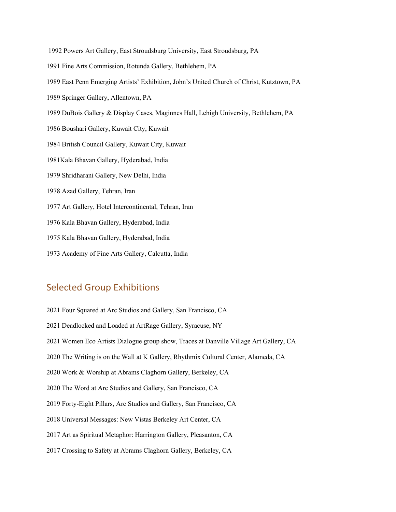- 1992 Powers Art Gallery, East Stroudsburg University, East Stroudsburg, PA
- 1991 Fine Arts Commission, Rotunda Gallery, Bethlehem, PA
- 1989 East Penn Emerging Artists' Exhibition, John's United Church of Christ, Kutztown, PA
- 1989 Springer Gallery, Allentown, PA
- 1989 DuBois Gallery & Display Cases, Maginnes Hall, Lehigh University, Bethlehem, PA
- 1986 Boushari Gallery, Kuwait City, Kuwait
- 1984 British Council Gallery, Kuwait City, Kuwait
- 1981Kala Bhavan Gallery, Hyderabad, India
- 1979 Shridharani Gallery, New Delhi, India
- 1978 Azad Gallery, Tehran, Iran
- 1977 Art Gallery, Hotel Intercontinental, Tehran, Iran
- 1976 Kala Bhavan Gallery, Hyderabad, India
- 1975 Kala Bhavan Gallery, Hyderabad, India
- 1973 Academy of Fine Arts Gallery, Calcutta, India

## Selected Group Exhibitions

2021 Four Squared at Arc Studios and Gallery, San Francisco, CA 2021 Deadlocked and Loaded at ArtRage Gallery, Syracuse, NY 2021 Women Eco Artists Dialogue group show, Traces at Danville Village Art Gallery, CA 2020 The Writing is on the Wall at K Gallery, Rhythmix Cultural Center, Alameda, CA 2020 Work & Worship at Abrams Claghorn Gallery, Berkeley, CA 2020 The Word at Arc Studios and Gallery, San Francisco, CA 2019 Forty-Eight Pillars, Arc Studios and Gallery, San Francisco, CA 2018 Universal Messages: New Vistas Berkeley Art Center, CA 2017 Art as Spiritual Metaphor: Harrington Gallery, Pleasanton, CA 2017 Crossing to Safety at Abrams Claghorn Gallery, Berkeley, CA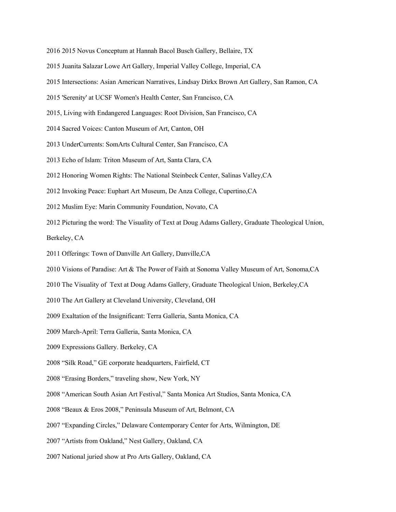- 2016 2015 Novus Conceptum at Hannah Bacol Busch Gallery, Bellaire, TX
- 2015 Juanita Salazar Lowe Art Gallery, Imperial Valley College, Imperial, CA
- 2015 Intersections: Asian American Narratives, Lindsay Dirkx Brown Art Gallery, San Ramon, CA
- 2015 'Serenity' at UCSF Women's Health Center, San Francisco, CA
- 2015, Living with Endangered Languages: Root Division, San Francisco, CA
- 2014 Sacred Voices: Canton Museum of Art, Canton, OH
- 2013 UnderCurrents: SomArts Cultural Center, San Francisco, CA
- 2013 Echo of Islam: Triton Museum of Art, Santa Clara, CA
- 2012 Honoring Women Rights: The National Steinbeck Center, Salinas Valley,CA
- 2012 Invoking Peace: Euphart Art Museum, De Anza College, Cupertino,CA
- 2012 Muslim Eye: Marin Community Foundation, Novato, CA
- 2012 Picturing the word: The Visuality of Text at Doug Adams Gallery, Graduate Theological Union,

Berkeley, CA

- 2011 Offerings: Town of Danville Art Gallery, Danville,CA
- 2010 Visions of Paradise: Art & The Power of Faith at Sonoma Valley Museum of Art, Sonoma,CA
- 2010 The Visuality of Text at Doug Adams Gallery, Graduate Theological Union, Berkeley,CA
- 2010 The Art Gallery at Cleveland University, Cleveland, OH
- 2009 Exaltation of the Insignificant: Terra Galleria, Santa Monica, CA
- 2009 March-April: Terra Galleria, Santa Monica, CA
- 2009 Expressions Gallery. Berkeley, CA
- 2008 "Silk Road," GE corporate headquarters, Fairfield, CT
- 2008 "Erasing Borders," traveling show, New York, NY
- 2008 "American South Asian Art Festival," Santa Monica Art Studios, Santa Monica, CA
- 2008 "Beaux & Eros 2008," Peninsula Museum of Art, Belmont, CA
- 2007 "Expanding Circles," Delaware Contemporary Center for Arts, Wilmington, DE
- 2007 "Artists from Oakland," Nest Gallery, Oakland, CA
- 2007 National juried show at Pro Arts Gallery, Oakland, CA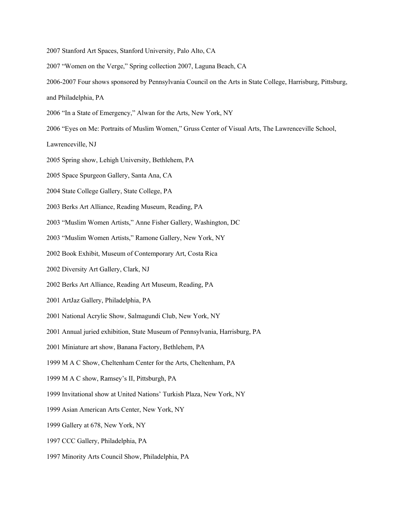- 2007 Stanford Art Spaces, Stanford University, Palo Alto, CA
- 2007 "Women on the Verge," Spring collection 2007, Laguna Beach, CA
- 2006-2007 Four shows sponsored by Pennsylvania Council on the Arts in State College, Harrisburg, Pittsburg,
- and Philadelphia, PA
- 2006 "In a State of Emergency," Alwan for the Arts, New York, NY
- 2006 "Eyes on Me: Portraits of Muslim Women," Gruss Center of Visual Arts, The Lawrenceville School,

Lawrenceville, NJ

- 2005 Spring show, Lehigh University, Bethlehem, PA
- 2005 Space Spurgeon Gallery, Santa Ana, CA
- 2004 State College Gallery, State College, PA
- 2003 Berks Art Alliance, Reading Museum, Reading, PA
- 2003 "Muslim Women Artists," Anne Fisher Gallery, Washington, DC
- 2003 "Muslim Women Artists," Ramone Gallery, New York, NY
- 2002 Book Exhibit, Museum of Contemporary Art, Costa Rica
- 2002 Diversity Art Gallery, Clark, NJ
- 2002 Berks Art Alliance, Reading Art Museum, Reading, PA
- 2001 ArtJaz Gallery, Philadelphia, PA
- 2001 National Acrylic Show, Salmagundi Club, New York, NY
- 2001 Annual juried exhibition, State Museum of Pennsylvania, Harrisburg, PA
- 2001 Miniature art show, Banana Factory, Bethlehem, PA
- 1999 M A C Show, Cheltenham Center for the Arts, Cheltenham, PA
- 1999 M A C show, Ramsey's II, Pittsburgh, PA
- 1999 Invitational show at United Nations' Turkish Plaza, New York, NY
- 1999 Asian American Arts Center, New York, NY
- 1999 Gallery at 678, New York, NY
- 1997 CCC Gallery, Philadelphia, PA
- 1997 Minority Arts Council Show, Philadelphia, PA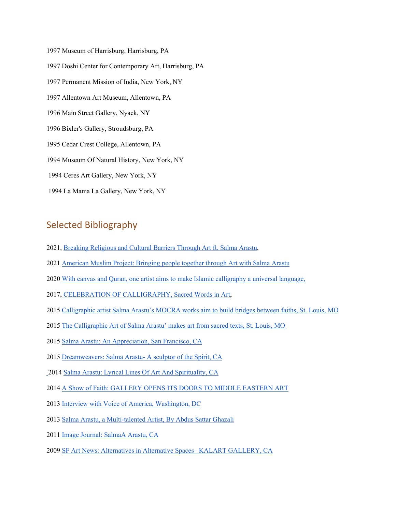1997 Museum of Harrisburg, Harrisburg, PA 1997 Doshi Center for Contemporary Art, Harrisburg, PA 1997 Permanent Mission of India, New York, NY 1997 Allentown Art Museum, Allentown, PA 1996 Main Street Gallery, Nyack, NY 1996 Bixler's Gallery, Stroudsburg, PA 1995 Cedar Crest College, Allentown, PA 1994 Museum Of Natural History, New York, NY 1994 Ceres Art Gallery, New York, NY 1994 La Mama La Gallery, New York, NY

# Selected Bibliography

- 2021, [Breaking Religious and Cultural Barriers Through Art ft. Salma Arastu,](https://eplog.media/episode/breaking-religious-and-cultural-barriers-through-a?fbclid=IwAR34a2Xxmgzr9S75XWwkCVKmcRoxl1tRJx5w4-QJL7NvhdUJ3U0tam33lew)
- 202[1 American Muslim Project: Bringing people together through Art with Salma Arastu](https://www.americanmuslimproject.com/episodes/bringing-people-together-through-art-with-salma-arastu)
- 202[0 With canvas and Quran, one artist aims to make Islamic calligraphy a universal language,](https://www.iwmf.org/reporting/with-canvas-and-quran-one-artist-aims-to-make-islamic-calligraphy-a-universal-language/#:%7E:text=Reporting-,With%20Canvas%20and%20Quran%2C%20One%20Artist%20Aims%20to,Islamic%20Calligraphy%20a%20Universal%20Language&text=Given%20her%20family%20history%2C%20Salma,helping%20to%20modernize%20Islamic%20calligraphy.)
- 2017, [CELEBRATION OF CALLIGRAPHY, Sacred Words in Art,](https://static1.squarespace.com/static/5a0c9ea2cd39c332554af295/t/5a668a61ec212de433343ee7/1516669540282/Salma+Booklet.pdf)
- 201[5 Calligraphic artist Salma Arastu's MOCRA works aim to build bridges between faiths, St. Louis, MO](https://news.stlpublicradio.org/arts/2015-11-20/prayer-for-peace-calligraphic-artist-salma-arastus-mocra-works-aim-to-build-bridges-between-faiths)
- 201[5 The Calligraphic Art of Salma Arastu' makes art from sacred texts, St. Louis, MO](https://www.stlamerican.com/religion/local_religion/the-calligraphic-art-of-salma-arastu-makes-art-from-sacred-texts/article_8780ce68-5ce6-11e5-aedc-4b0b2a0a3092.html)
- 201[5 Salma Arastu: An Appreciation, San Francisco, CA](https://www.conversations.org/story.php?sid=421)
- 201[5 Dreamweavers: Salma Arastu- A sculptor of the Spirit, CA](https://dreamweaverarts.org/2015/11/24/salma-arastu-a-sculptor-of-the-spirit/)
- [2](https://www.conversations.org/story.php?sid=421)014 [Salma Arastu: Lyrical Lines Of Art And Spirituality, CA](https://salmaarastu.com/awakin-call/)
- 201[4 A Show of Faith: GALLERY OPENS ITS DOORS TO MIDDLE EASTERN ART](https://www.wenatcheeworld.com/go/a-show-of-faith-gallery-opens-its-doors-to-middle-eastern-art/article_80dc9e70-35ac-5f31-b14f-40ae6dca968c.html)
- 201[3 Interview with Voice of America, Washington, DC](https://www.voaindonesia.com/a/salma-arastu-ahli-kaligrafi-yang-sukses-di-as/1706030.html)
- 201[3 Salma Arastu, a Multi-talented Artist, By Abdus Sattar Ghazali](https://www.pakistanlink.org/Community/2013/June13/28/05.HTM)
- 2011 [Image Journal: SalmaA Arastu, CA](https://salmaarastu.com/image-journal-salma-arastu/)
- 200[9 SF Art News: Alternatives in Alternative Spaces– KALART GALLERY, CA](https://sfartnews.wordpress.com/2009/04/19/alternatives-in-alternative-spaces/)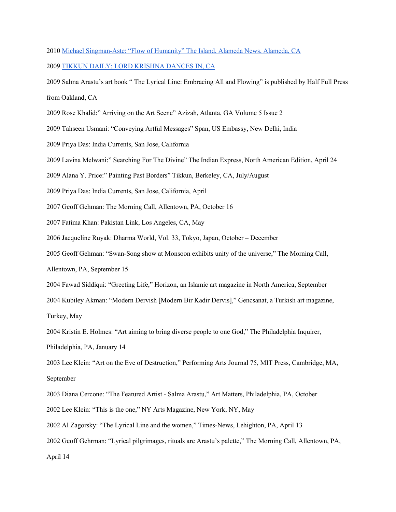```
2010 Michael Singman-Aste: "Flow of Humanity" The Island, Alameda News, Alameda, CA
```
200[9 TIKKUN DAILY: LORD KRISHNA DANCES IN, CA](https://www.tikkun.org/tikkundaily/2009/07/07/lord-krishna-dances-in/)

2009 Salma Arastu's art book " The Lyrical Line: Embracing All and Flowing" is published by Half Full Press from Oakland, CA

- 2009 Rose Khalid:" Arriving on the Art Scene" Azizah, Atlanta, GA Volume 5 Issue 2
- 2009 Tahseen Usmani: "Conveying Artful Messages" Span, US Embassy, New Delhi, India
- 2009 Priya Das: India Currents, San Jose, California
- 2009 Lavina Melwani:" Searching For The Divine" The Indian Express, North American Edition, April 24
- 2009 Alana Y. Price:" Painting Past Borders" Tikkun, Berkeley, CA, July/August
- 2009 Priya Das: India Currents, San Jose, California, April
- 2007 Geoff Gehman: The Morning Call, Allentown, PA, October 16
- 2007 Fatima Khan: Pakistan Link, Los Angeles, CA, May
- 2006 Jacqueline Ruyak: Dharma World, Vol. 33, Tokyo, Japan, October December
- 2005 Geoff Gehman: "Swan-Song show at Monsoon exhibits unity of the universe," The Morning Call,
- Allentown, PA, September 15
- 2004 Fawad Siddiqui: "Greeting Life," Horizon, an Islamic art magazine in North America, September
- 2004 Kubiley Akman: "Modern Dervish [Modern Bir Kadir Dervis]," Gencsanat, a Turkish art magazine,

Turkey, May

2004 Kristin E. Holmes: "Art aiming to bring diverse people to one God," The Philadelphia Inquirer,

Philadelphia, PA, January 14

2003 Lee Klein: "Art on the Eve of Destruction," Performing Arts Journal 75, MIT Press, Cambridge, MA, September

2003 Diana Cercone: "The Featured Artist - Salma Arastu," Art Matters, Philadelphia, PA, October

- 2002 Lee Klein: "This is the one," NY Arts Magazine, New York, NY, May
- 2002 Al Zagorsky: "The Lyrical Line and the women," Times-News, Lehighton, PA, April 13
- 2002 Geoff Gehrman: "Lyrical pilgrimages, rituals are Arastu's palette," The Morning Call, Allentown, PA,

April 14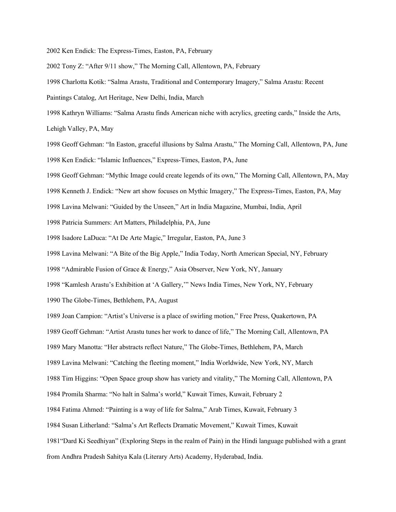2002 Ken Endick: The Express-Times, Easton, PA, February

2002 Tony Z: "After 9/11 show," The Morning Call, Allentown, PA, February

1998 Charlotta Kotik: "Salma Arastu, Traditional and Contemporary Imagery," Salma Arastu: Recent

Paintings Catalog, Art Heritage, New Delhi, India, March

1998 Kathryn Williams: "Salma Arastu finds American niche with acrylics, greeting cards," Inside the Arts,

Lehigh Valley, PA, May

1998 Geoff Gehman: "In Easton, graceful illusions by Salma Arastu," The Morning Call, Allentown, PA, June 1998 Ken Endick: "Islamic Influences," Express-Times, Easton, PA, June

1998 Geoff Gehman: "Mythic Image could create legends of its own," The Morning Call, Allentown, PA, May

1998 Kenneth J. Endick: "New art show focuses on Mythic Imagery," The Express-Times, Easton, PA, May

1998 Lavina Melwani: "Guided by the Unseen," Art in India Magazine, Mumbai, India, April

1998 Patricia Summers: Art Matters, Philadelphia, PA, June

1998 Isadore LaDuca: "At De Arte Magic," Irregular, Easton, PA, June 3

1998 Lavina Melwani: "A Bite of the Big Apple," India Today, North American Special, NY, February

1998 "Admirable Fusion of Grace & Energy," Asia Observer, New York, NY, January

1998 "Kamlesh Arastu's Exhibition at 'A Gallery,'" News India Times, New York, NY, February

1990 The Globe-Times, Bethlehem, PA, August

1989 Joan Campion: "Artist's Universe is a place of swirling motion," Free Press, Quakertown, PA

1989 Geoff Gehman: "Artist Arastu tunes her work to dance of life," The Morning Call, Allentown, PA

1989 Mary Manotta: "Her abstracts reflect Nature," The Globe-Times, Bethlehem, PA, March

1989 Lavina Melwani: "Catching the fleeting moment," India Worldwide, New York, NY, March

1988 Tim Higgins: "Open Space group show has variety and vitality," The Morning Call, Allentown, PA

1984 Promila Sharma: "No halt in Salma's world," Kuwait Times, Kuwait, February 2

1984 Fatima Ahmed: "Painting is a way of life for Salma," Arab Times, Kuwait, February 3

1984 Susan Litherland: "Salma's Art Reflects Dramatic Movement," Kuwait Times, Kuwait

1981"Dard Ki Seedhiyan" (Exploring Steps in the realm of Pain) in the Hindi language published with a grant

from Andhra Pradesh Sahitya Kala (Literary Arts) Academy, Hyderabad, India.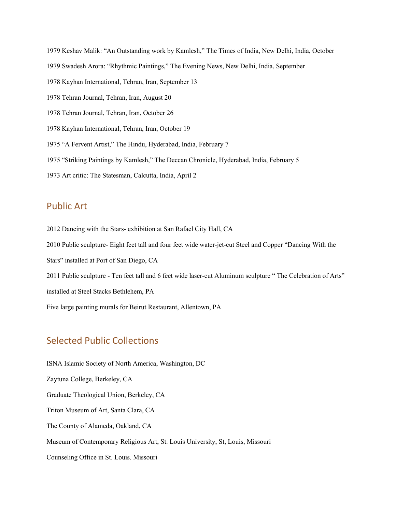1979 Keshav Malik: "An Outstanding work by Kamlesh," The Times of India, New Delhi, India, October 1979 Swadesh Arora: "Rhythmic Paintings," The Evening News, New Delhi, India, September 1978 Kayhan International, Tehran, Iran, September 13 1978 Tehran Journal, Tehran, Iran, August 20 1978 Tehran Journal, Tehran, Iran, October 26 1978 Kayhan International, Tehran, Iran, October 19 1975 "A Fervent Artist," The Hindu, Hyderabad, India, February 7 1975 "Striking Paintings by Kamlesh," The Deccan Chronicle, Hyderabad, India, February 5 1973 Art critic: The Statesman, Calcutta, India, April 2

### Public Art

2012 Dancing with the Stars- exhibition at San Rafael City Hall, CA 2010 Public sculpture- Eight feet tall and four feet wide water-jet-cut Steel and Copper "Dancing With the Stars" installed at Port of San Diego, CA 2011 Public sculpture - Ten feet tall and 6 feet wide laser-cut Aluminum sculpture " The Celebration of Arts" installed at Steel Stacks Bethlehem, PA Five large painting murals for Beirut Restaurant, Allentown, PA

## Selected Public Collections

ISNA Islamic Society of North America, Washington, DC Zaytuna College, Berkeley, CA Graduate Theological Union, Berkeley, CA Triton Museum of Art, Santa Clara, CA The County of Alameda, Oakland, CA Museum of Contemporary Religious Art, St. Louis University, St, Louis, Missouri Counseling Office in St. Louis. Missouri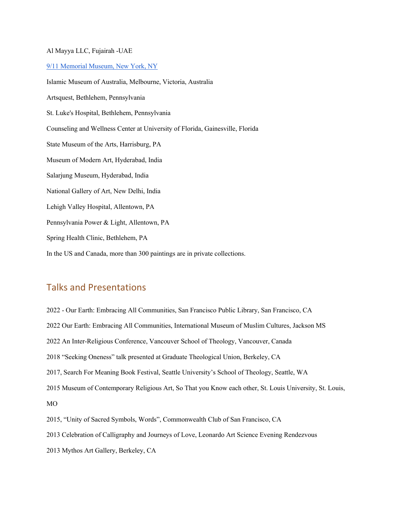#### Al Mayya LLC, Fujairah -UAE

9/11 Memorial Museum, New York, NY

Islamic Museum of Australia, Melbourne, Victoria, Australia Artsquest, Bethlehem, Pennsylvania St. Luke's Hospital, Bethlehem, Pennsylvania Counseling and Wellness Center at University of Florida, Gainesville, Florida State Museum of the Arts, Harrisburg, PA Museum of Modern Art, Hyderabad, India Salarjung Museum, Hyderabad, India National Gallery of Art, New Delhi, India Lehigh Valley Hospital, Allentown, PA Pennsylvania Power & Light, Allentown, PA Spring Health Clinic, Bethlehem, PA In the US and Canada, more than 300 paintings are in private collections.

## Talks and Presentations

2022 - Our Earth: Embracing All Communities, San Francisco Public Library, San Francisco, CA 2022 Our Earth: Embracing All Communities, International Museum of Muslim Cultures, Jackson MS 2022 An Inter-Religious Conference, Vancouver School of Theology, Vancouver, Canada 2018 "Seeking Oneness" talk presented at Graduate Theological Union, Berkeley, CA 2017, Search For Meaning Book Festival, Seattle University's School of Theology, Seattle, WA 2015 Museum of Contemporary Religious Art, So That you Know each other, St. Louis University, St. Louis, MO 2015, "Unity of Sacred Symbols, Words", Commonwealth Club of San Francisco, CA 2013 Celebration of Calligraphy and Journeys of Love, Leonardo Art Science Evening Rendezvous

2013 Mythos Art Gallery, Berkeley, CA